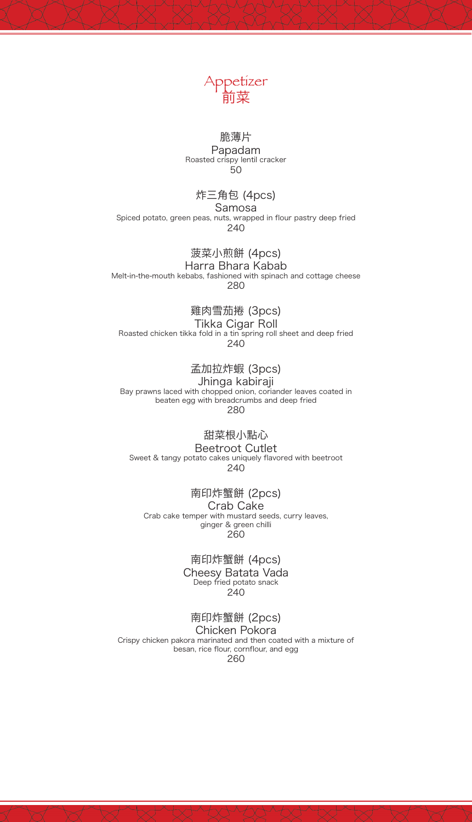

脆薄片 Papadam Roasted crispy lentil cracker 50

### 炸三角包 (4pcs)

Samosa Spiced potato, green peas, nuts, wrapped in flour pastry deep fried 240

菠菜小煎餅 (4pcs) Harra Bhara Kabab Melt-in-the-mouth kebabs, fashioned with spinach and cottage cheese 280

雞肉雪茄捲 (3pcs) Tikka Cigar Roll Roasted chicken tikka fold in a tin spring roll sheet and deep fried 240

## 孟加拉炸蝦 (3pcs)

Jhinga kabiraji Bay prawns laced with chopped onion, coriander leaves coated in beaten egg with breadcrumbs and deep fried 280

#### 甜菜根小點心 Beetroot Cutlet Sweet & tangy potato cakes uniquely flavored with beetroot 240

南印炸蟹餅 (2pcs) Crab Cake Crab cake temper with mustard seeds, curry leaves, ginger & green chilli

260

南印炸蟹餅 (4pcs) Cheesy Batata Vada Deep fried potato snack 240

南印炸蟹餅 (2pcs) Chicken Pokora Crispy chicken pakora marinated and then coated with a mixture of besan, rice flour, cornflour, and egg 260

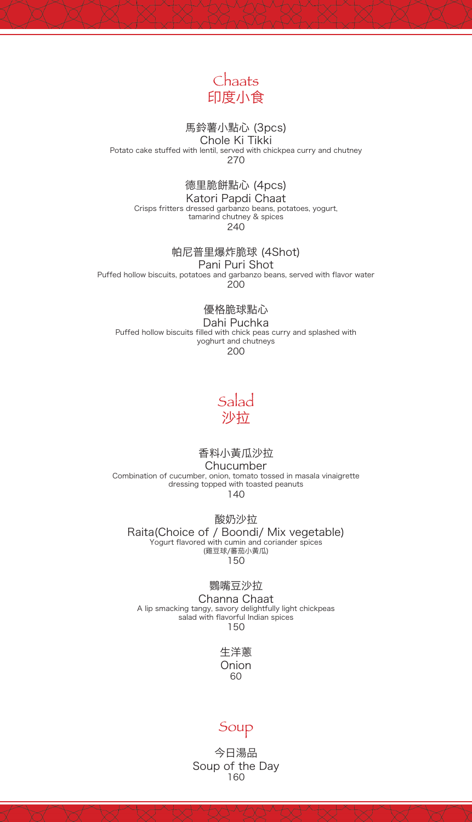

#### 馬鈴薯小點心 (3pcs) Chole Ki Tikki Potato cake stuffed with lentil, served with chickpea curry and chutney 270

### 德里脆餅點心 (4pcs)

## Katori Papdi Chaat

Crisps fritters dressed garbanzo beans, potatoes, yogurt, tamarind chutney & spices

#### 240

#### 帕尼普里爆炸脆球 (4Shot) Pani Puri Shot

Puffed hollow biscuits, potatoes and garbanzo beans, served with flavor water 200

優格脆球點心 Dahi Puchka Puffed hollow biscuits filled with chick peas curry and splashed with yoghurt and chutneys 200



# 香料小黃瓜沙拉

Chucumber

Combination of cucumber, onion, tomato tossed in masala vinaigrette dressing topped with toasted peanuts

140

### 酸奶沙拉 Raita(Choice of / Boondi/ Mix vegetable)

Yogurt flavored with cumin and coriander spices (雞豆球/蕃茄小黃瓜) 150

#### 鸚嘴豆沙拉

Channa Chaat A lip smacking tangy, savory delightfully light chickpeas salad with flavorful Indian spices 150

#### 生洋蔥 Onion 60

Soup

今日湯品 Soup of the Day 160

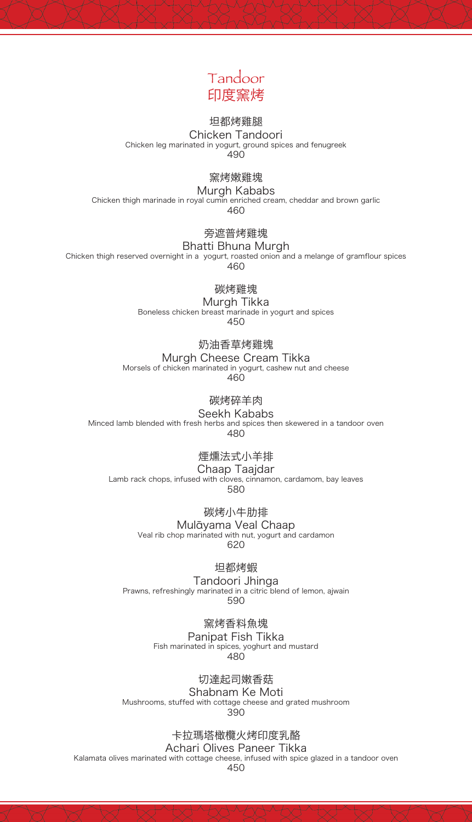

#### 坦都烤雞腿 Chicken Tandoori Chicken leg marinated in yogurt, ground spices and fenugreek 490

### 窯烤嫩雞塊 Murgh Kababs

Chicken thigh marinade in royal cumin enriched cream, cheddar and brown garlic

460

### 旁遮普烤雞塊 Bhatti Bhuna Murgh

Chicken thigh reserved overnight in a yogurt, roasted onion and a melange of gramflour spices

460

#### 碳烤雞塊 Murgh Tikka Boneless chicken breast marinade in yogurt and spices 450

#### 奶油香草烤雞塊 Murgh Cheese Cream Tikka Morsels of chicken marinated in yogurt, cashew nut and cheese 460

## 碳烤碎羊肉

### Seekh Kababs

Minced lamb blended with fresh herbs and spices then skewered in a tandoor oven

480

### 煙燻法式小羊排

### Chaap Taajdar

Lamb rack chops, infused with cloves, cinnamon, cardamom, bay leaves

580

#### 碳烤小牛肋排 Mulāyama Veal Chaap

#### Veal rib chop marinated with nut, yogurt and cardamon

620

#### 坦都烤蝦

## Tandoori Jhinga

Prawns, refreshingly marinated in a citric blend of lemon, ajwain 590

#### 窯烤香料魚塊 Panipat Fish Tikka Fish marinated in spices, yoghurt and mustard 480

### 切達起司嫩香菇

### Shabnam Ke Moti Mushrooms, stuffed with cottage cheese and grated mushroom

390

#### 卡拉瑪塔橄欖火烤印度乳酪 Achari Olives Paneer Tikka

Kalamata olives marinated with cottage cheese, infused with spice glazed in a tandoor oven 450

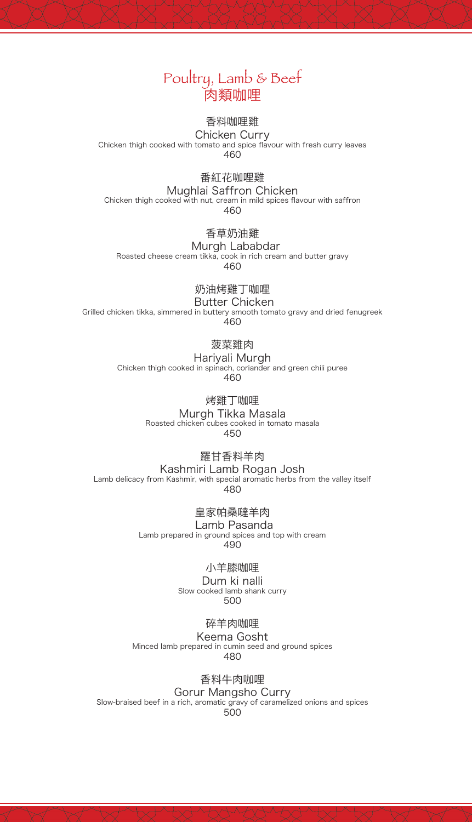# Poultry, Lamb & Beef 肉類咖哩

## 香料咖哩雞

Chicken Curry Chicken thigh cooked with tomato and spice flavour with fresh curry leaves 460

#### 番紅花咖哩雞 Mughlai Saffron Chicken

Chicken thigh cooked with nut, cream in mild spices flavour with saffron

460

### 香草奶油雞

### Murgh Lababdar

Roasted cheese cream tikka, cook in rich cream and butter gravy

460

## 奶油烤雞丁咖哩 Butter Chicken

Grilled chicken tikka, simmered in buttery smooth tomato gravy and dried fenugreek 460

### 菠菜雞肉

Hariyali Murgh Chicken thigh cooked in spinach, coriander and green chili puree

460

烤雞丁咖哩 Murgh Tikka Masala Roasted chicken cubes cooked in tomato masala 450

## 羅甘香料羊肉

### Kashmiri Lamb Rogan Josh

Lamb delicacy from Kashmir, with special aromatic herbs from the valley itself

480



### Lamb Pasanda

Lamb prepared in ground spices and top with cream

490

#### 小羊膝咖哩 Dum ki nalli Slow cooked lamb shank curry 500

碎羊肉咖哩 Keema Gosht Minced lamb prepared in cumin seed and ground spices 480

#### 香料牛肉咖哩 Gorur Mangsho Curry Slow-braised beef in a rich, aromatic gravy of caramelized onions and spices 500

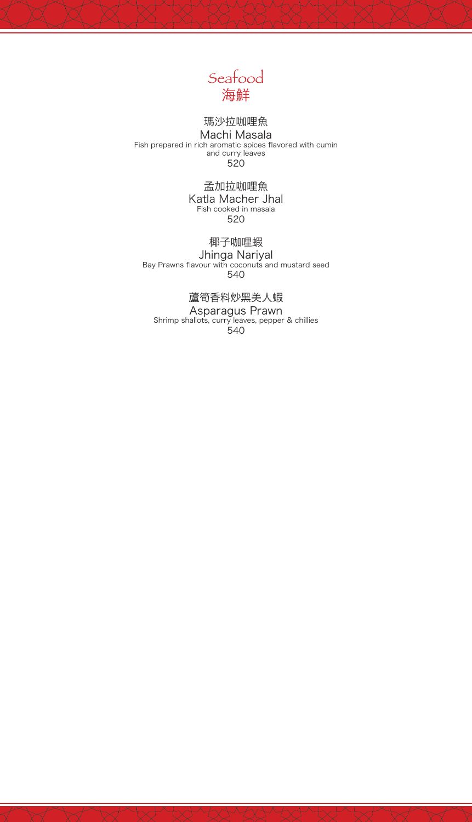

#### 瑪沙拉咖哩魚 Machi Masala Fish prepared in rich aromatic spices flavored with cumin and curry leaves 520

#### 孟加拉咖哩魚 Katla Macher Jhal Fish cooked in masala 520

#### 椰子咖哩蝦

Jhinga Nariyal Bay Prawns flavour with coconuts and mustard seed

#### 蘆筍香料炒黑美人蝦 Asparagus Prawn Shrimp shallots, curry leaves, pepper & chillies 540

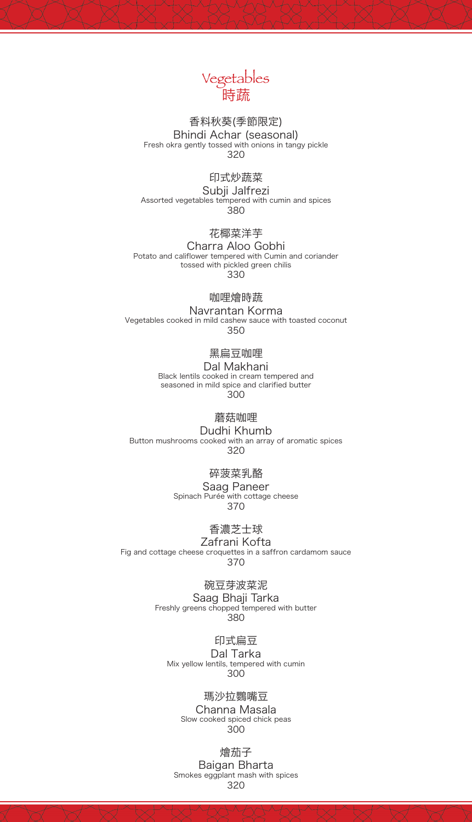

#### 香料秋葵(季節限定) Bhindi Achar (seasonal) Fresh okra gently tossed with onions in tangy pickle 320

#### 印式炒蔬菜 Subji Jalfrezi Assorted vegetables tempered with cumin and spices 380

### 花椰菜洋芋

Charra Aloo Gobhi Potato and califlower tempered with Cumin and coriander tossed with pickled green chilis



### 咖哩燴時蔬

### Navrantan Korma

Vegetables cooked in mild cashew sauce with toasted coconut

350

### 黑扁豆咖哩

Dal Makhani

Black lentils cooked in cream tempered and seasoned in mild spice and clarified butter

300

### 蘑菇咖哩

### Dudhi Khumb

Button mushrooms cooked with an array of aromatic spices

320

### 碎菠菜乳酪

Saag Paneer Spinach Purée with cottage cheese

370



#### Zafrani Kofta Fig and cottage cheese croquettes in a saffron cardamom sauce 370

碗豆芽波菜泥 Saag Bhaji Tarka Freshly greens chopped tempered with butter 380

### 印式扁豆

Dal Tarka Mix yellow lentils, tempered with cumin 300

### 瑪沙拉鸚嘴豆

Channa Masala Slow cooked spiced chick peas 300

燴茄子 Baigan Bharta Smokes eggplant mash with spices 320

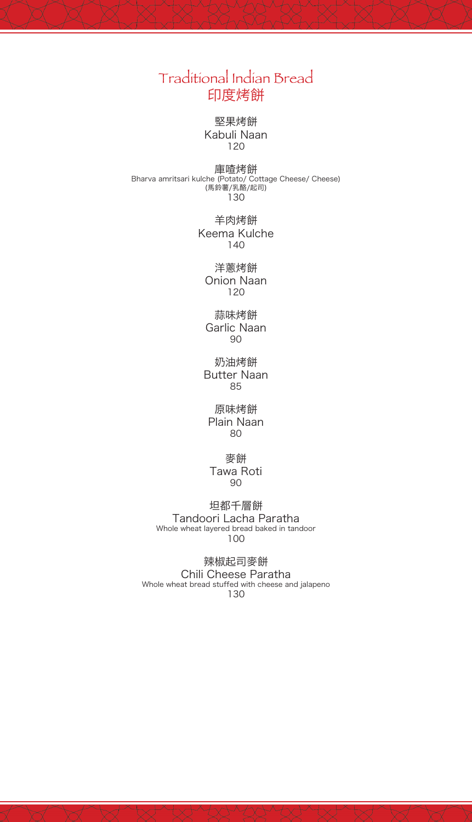# Traditional Indian Bread 印度烤餅

堅果烤餅 Kabuli Naan 120

庫喳烤餅 Bharva amritsari kulche (Potato/ Cottage Cheese/ Cheese) (馬鈴薯/乳酪/起司) 130

> 羊肉烤餅 Keema Kulche 140

洋蔥烤餅 Onion Naan 120

蒜味烤餅 Garlic Naan 90

奶油烤餅 Butter Naan 85

原味烤餅 Plain Naan 80

麥餅 Tawa Roti 90

#### 坦都千層餅 Tandoori Lacha Paratha Whole wheat layered bread baked in tandoor



#### 辣椒起司麥餅 Chili Cheese Paratha Whole wheat bread stuffed with cheese and jalapeno 130